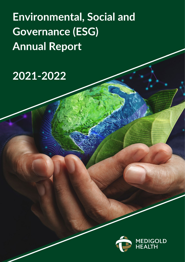**Environmental, Social and Governance (ESG) Annual Report** 

# 2021-2022

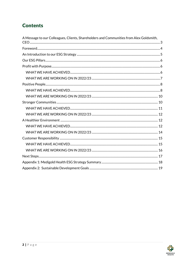# **Contents**

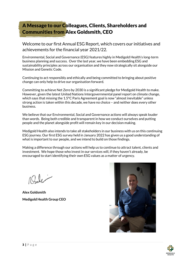# <span id="page-2-0"></span>A Message to our Colleagues, Clients, Shareholders and Communities from Alex Goldsmith, CEO

Welcome to our first Annual ESG Report, which covers our initiatives and achievements for the financial year 2021/22.

Environmental, Social and Governance (ESG) features highly in Medigold Health's long-term business planning and success. Over the last year, we have been embedding ESG and sustainability principles across our organisation and they now strategically sit alongside our Mission and Genetic Code.

Continuing to act responsibly and ethically and being committed to bringing about positive change can only help to drive our organisation forward.

Committing to achieve Net Zero by 2030 is a significant pledge for Medigold Health to make. However, given the latest United Nations Intergovernmental panel report on climate change, which says that missing the 1.5°C Paris Agreement goal is now "almost inevitable" unless strong action is taken within this decade, we have no choice – and neither does every other business.

We believe that our Environmental, Social and Governance actions will always speak louder than words. Being both credible and transparent in how we conduct ourselves and putting people and the planet alongside profit will remain key in our decision making.

Medigold Health also intends to take all stakeholders in our business with us on this continuing ESG journey. Our first ESG survey held in January 2022 has given us a good understanding of what is important to our people, and we intend to build on those findings.

Making a difference through our actions will help us to continue to attract talent, clients and investment. We hope those who invest in our services will, if they haven't already, be encouraged to start identifying their own ESG values as a matter of urgency.

 $Qd\chi$ 

**Alex Goldsmith Medigold Health Group CEO**



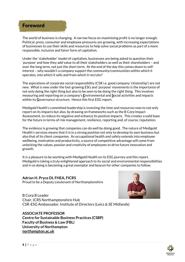# <span id="page-3-0"></span>Foreword

The world of business is changing. A narrow focus on maximising profit is no longer enough. Political, press, consumer and employee pressures are growing, with increasing expectations of businesses to use their skills and resources to help solve social problems as part of a more responsible, inclusive and fairer form of capitalism.

Under the 'stakeholder' model of capitalism, businesses are being asked to question their 'purpose' and how they add value to all their stakeholders as well as their shareholders – and over the long term, not just the short term. At the end of the day this comes down to selfinterest – why wouldn't a company support the community/communities within which it operates, into which it sells and from which it recruits?

The aspirations of corporate social responsibility (CSR i.e. good company 'citizenship') are not new. What is new under the fast-growing ESG and 'purpose' movements is the importance of not only doing the right thing but also to be seen to be doing the right thing. This involves measuring and reporting on a company's **E**nvironmental and **S**ocial activities and impacts within its **G**overnance structure. Hence this first ESG report.

Medigold Health's committed leadership is investing the time and resources now to not only report on its impacts but also, by drawing on frameworks such as the B Corp Impact Assessment, to reduce its negative and enhance its positive impacts. This creates a solid base for the future in terms of risk management, resilience, reporting and, of course, reputation.

The evidence is growing that companies can do well by doing good. The nature of Medigold Health's services means that it is in a strong position not only to develop its own business but also that of its client companies. As occupational health and safety extends into employee wellbeing, motivation and productivity, a source of competitive advantage will come from unlocking the values, passion and creativity of employees to drive future innovation and growth.

It is a pleasure to be working with Medigold Health on its ESG journey and this report. Medigold is taking a truly enlightened approach to its social and environmental responsibilities and in so doing is becoming a great exemplar and beacon for other companies to follow.

# **Adrian H. Pryce DL FHEA, FICRS** Proud to be a Deputy Lieutenant of Northamptonshire



B Corp B Leader Chair, ICRS Northamptonshire Hub CSR-ESG Ambassador, Institute of Directors (Leics & SE Midlands)

# **ASSOCIATE PROFESSOR**

**Centre for Sustainable Business Practices (CSBP) Faculty of Business & Law (FBL) University of Northampton northampton.ac.uk**

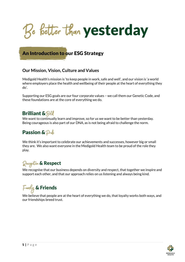Be better than yesterday

# <span id="page-4-0"></span>An Introduction to our ESG Strategy

# **Our Mission, Vision, Culture and Values**

Medigold Health's mission is 'to keep people in work, safe and well', and our vision is 'a world where employers place the health and wellbeing of their people at the heart of everything they do'.

Supporting our ESG goals are our four corporate values – we call them our Genetic Code, and these foundations are at the core of everything we do.

# **Brilliant & Bold**

We want to continually learn and improve, so for us we want to be better than yesterday. Being courageous is also part of our DNA, as is not being afraid to challenge the norm.

# **Passion &**  $\mathcal{P}$ rick

We think it's important to celebrate our achievements and successes, however big or small they are. We also want everyone in the Medigold Health team to be proud of the role they play.

# Recognition & Respect

We recognise that our business depends on diversity and respect, that together we inspire and support each other, and that our approach relies on us listening and always being kind.

# Family & Friends

We believe that people are at the heart of everything we do, that loyalty works both ways, and our friendships breed trust.

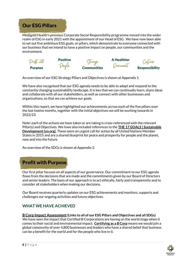<span id="page-5-0"></span>

Medigold Health's previous Corporate Social Responsibility programme moved into the wider realm of ESG in early 2021 with the appointment of our Head of ESG. We have now been able to set out five ambitious ESG goals, or pillars, which demonstrate to everyone connected with our business that we intend to have a positive impact on people, our communities and the environment.



An overview of our ESG Strategy Pillars and Objectives is shown at Appendix 1.

We have also recognised that our ESG agenda needs to be able to adapt and respond to the constantly changing sustainability landscape. It is key that we can continually learn, share ideas and collaborate with all our stakeholders, as well as connect with other businesses and organisations, so that we can achieve our goals.

Within this report, we have highlighted our achievements across each of the five pillars over the last twelve months, together with the initial objectives we will be working towards in 2022/23.

Note: each of the actions we have taken or are taking is cross-referenced with the relevant Pillar(s) and Objectives. We have also included references to the **[THE 17 GOALS | Sustainable](https://sdgs.un.org/goals)  [Development \(un.org\)](https://sdgs.un.org/goals)**. These were an urgent call for action by all United Nations Member States in 2015 and are a shared blueprint for peace and prosperity for people and the planet, now and into the future.

An overview of the SDGs is shown at Appendix 2.

<span id="page-5-1"></span>

Our first pillar focuses on all aspects of our governance. Our commitment to our ESG agenda flows from the decisions that are made and the commitments given by our Board of Directors and senior leaders. The basis of our approach is to act ethically, fairly and transparently and to consider all stakeholders when making our decisions.

Our Board receives quarterly updates on our ESG achievements and monitors, supports and challenges our ongoing activities and future objectives.

# <span id="page-5-2"></span>**WHAT WE HAVE ACHIEVED**

#### **B Corp Impact Assessment(Links to all of our ESG Pillars and Objectives and all SDGs)**

We have seen the impact that Certified B Corporations are having on the world stage when it comes to their social and environmental impact. **[Certifying as a B Corp](https://bcorporation.uk/b-corp-certification/)** means we would join a global community of over 4,800 businesses and leaders who have a shared belief that business can be a benefit for the world and for the people who live in it.

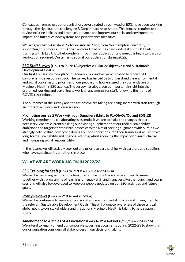Colleagues from across our organisation, co-ordinated by our Head of ESG, have been working through the rigorous and challenging B Corp Impact Assessment. This process requires us to review existing policies and practices, enhance and improve our social and environmental impact, and introduce new systems and performance measures.

We are grateful to Assistant Professor Adrian Pryce, from Northampton University, in supporting this process. Both Adrian and our Head of ESG have undertaken the B Leader training with B Lab UK to help guide us through our application and meet the high standards of verification required. Our aim is to submit our application during 2022.

## **ESG Staff Survey (Links to Pillar 1/Objective c, Pillar 2/Objective e and Sustainable Development Goal 8)**

Our first ESG survey took place in January 2022 and we were pleased to receive 200 comprehensive responses back. The survey has helped us to understand the environmental and social concerns and priorities of our people and how engaged they currently are with Medigold Health's ESG agenda. The survey has also given us important insight into the preferred working and travelling to work arrangements for staff, following the lifting of COVID restrictions.

The outcomes of the survey and the actions we are taking are being shared with staff through an interactive Lunch and Learn session.

# **Promoting our ESG Work with our Suppliers (Links to P1/Ob/Oc/Od and SDG 12)**

Working together and collaborating is essential if we are to make the changes that are necessary. We are currently asking our existing suppliers to set out their sustainability ambitions and targets for their businesses with the aim of seeking alignment with ours, as we strongly believe that if everyone drives ESG considerations into their business, it will improve long-term sustainability and financial returns, whilst reducing the impact on climate change and increasing social responsibility.

In the future, we will actively seek out and prioritise partnerships with partners and suppliers who have sustainability ambitions in place.

# <span id="page-6-0"></span>**WHAT WE ARE WORKING ON IN 2022/23**

# **ESG Training for Staff (Links to P1/Oe & P2/Oe and SDG 4)**

We will be designing an ESG induction programme for all new starters to our business, together with a programme of learning for legacy staff and managers. Further Lunch and Learn sessions will also be developed to keep our people updated on our ESG activities and future goals.

# **Policy Reviews (Links to P1/Oe and all SDGs)**

We will be continuing to review all our social and environmental policies and linking them to the relevant Sustainable Development Goals. This will promote awareness of these critical global goals to our stakeholders and the actions Medigold Health is taking to help support them.

# **Amendment to Articles of Association (Links to P1/Oa/Ob/Oc/Od/Oe and SDG 16)**

We intend to legally amend our corporate governing documents during 2022/23 to show that our organisation considers all stakeholders in our decision-making.

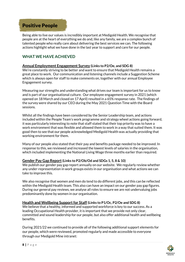# <span id="page-7-0"></span>Positive People

Being able to live our values is incredibly important at Medigold Health. We recognise that people are at the heart of everything we do and, like any family, we are a complex bunch of talented people who really care about delivering the best services we can. The following actions highlight what we have done in the last year to support and care for our people.

# <span id="page-7-1"></span>**WHAT WE HAVE ACHIEVED**

## **Annual Employment Engagement Survey (Links to P2/Oe, and SDG 8)**

We're constantly striving to be better and want to ensure that Medigold Health remains a great place to work. Our communication and listening channels include a Suggestion Scheme which is always open for staff to make comments on, together with our annual Employee Engagement survey.

Measuring our strengths and understanding what drives our team is important for us to know and is part of our organisational culture. Our employee engagement survey in 2021 (which opened on 18 March and closed on 17 April) resulted in a 65% response rate. The findings of the survey were shared by our CEO during the May 2021 Question Time with the Board sessions.

Whilst all the findings have been considered by the Senior Leadership team, and actions included within the People Team's work programme and strategy wheel actions going forward, it was particularly interesting to note that staff stated that their top priority was to have a work environment that was flexible and allowed them to work in a way that suited them. It was good then to see that our people acknowledged Medigold Health was actually providing that working environment for them.

Many of our people also stated that their pay and benefits package needed to be improved. In response to this, we reviewed and increased the lowest levels of salaries in the organisation, which included implementing the National Living Wage three months earlier than required.

## **Gender Pay Gap Report(Links to P2/Ob/Od and SDGs 1, 5, 8 & 10)**

We publish our gender pay gap report annually on our website. We regularly review whether any under-representation in work groups exists in our organisation and what actions we can take to improve this.

We also recognise that women and men do tend to do different jobs, and this can be reflected within the Medigold Health team. This also can have an impact on our gender pay gap figures. During our general pay reviews, we analyse all roles to ensure we are not undervaluing jobs predominantly done by women in our organisation.

# **Health and Wellbeing Support for Staff (Links to P1/Oc, P2/Oe and SDG 8)**

We believe that a healthy, informed and supported workforce is key to our success. As a leading Occupational Health provider, it is important that we provide not only clear, committed and sound leadership for our people, but also offer additional health and wellbeing benefits.

During 2021/22 we continued to provide all of the following additional support elements for our people, which were reviewed, promoted regularly and made accessible to everyone through our Medigold Mine intranet:

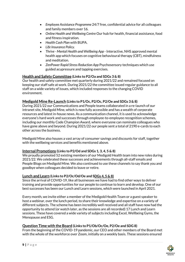- *Employee Assistance Programme* 24/7 free, confidential advice for all colleagues and family members over 16.
- *Online Health and Wellbeing Centre* Our hub for health, financial assistance, food and fitness inspiration.
- *Health Cash Plan* with BUPA.
- *Life Insurance Policy.*
- *Thrive - Mental Health and Wellbeing App -* Interactive, NHS approved mental health app which focuses on cognitive behavioural therapy (CBT), mindfulness and meditation.
- *ZenPower Rapid Stress Reduction App* Psychosensory techniques which use guided acupressure and tapping exercises.

# **Health and Safety Committee (Links to P2/Oa and SDGs 3 & 8)**

Our health and safety committee met quarterly during 2021/22 and remained focused on keeping our staff safe at work. During 2021/22 the committee issued regular guidance to all staff on a wide variety of issues, which included responses to the changing COVID environment.

# **Medigold Mine Re-Launch (Links to P1/Oc, P2/Oc, P2/Oe and SDGs 3 & 8)**

During 2021/22 our Communications and People teams collaborated in a re-launch of our intranet site, Medigold Mine, which is now fully accessible and has a wealth of corporate resources and latest in-house news. As a communication channel, it is used to acknowledge everyone's hard work and successes through employee-to-employee recognition schemes, including our monthly Code Champion Award, where everyone can nominate colleagues who have gone above and beyond. During 2021/22 our people sent a total of 2190 e-cards to each other across the business.

Medigold Mine also houses a vast array of consumer savings and discounts for staff, together with the wellbeing services and benefits mentioned above.

## **Internal Promotions (Links to P2/Od and SDGs 1, 3, 4, 5 & 8)**

We proudly promoted 52 existing members of our Medigold Health team into new roles during 2021/22. We celebrated these successes and achievements through all-staff emails and People Blogs on Medigold Mine. We also continued to use these channels to say thank you and goodbye when colleagues decided to leave or retire.

## **Lunch and Learn (Links to P2/Oc/Od/Oe and SDGs 4, 5 & 8)**

Since the arrival of COVID-19, like all businesses we have had to find other ways to deliver training and provide opportunities for our people to continue to learn and develop. One of our best successes has been our Lunch and Learn sessions, which were launched in April 2021.

Every month, we invite either a member of the Medigold Health Team or a guest speaker to host a webinar, over the lunch period, to share their knowledge and expertise on a variety of different subjects. The scheme has been incredibly well received and all staff have now had the opportunity to attend (or watch later, as the sessions are all recorded) 17 Lunch and Learn sessions. These have covered a wide variety of subjects including Excel, Wellbeing Gyms, the Menopause and ESG.

## **Question Time with the Board (Links to P1/Ob/Oc/Oe, P2/Oe and SDG 8)**

From the beginning of the COVID-19 pandemic, our CEO and other members of the Board met with the whole of the workforce over Zoom, initially on a weekly basis. These sessions ensured

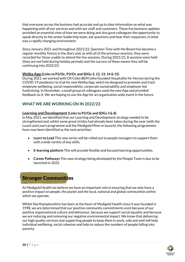that everyone across the business had accurate and up to date information on what was happening with all our services and with our staff and customers. These live business updates provided an essential view of how we were doing and also gave colleagues the opportunity to speak directly to the senior leadership team, ask questions and hear their responses, in what was a rapidly changing environment.

Since January 2021 and throughout 2021/22, Question Time with the Board has become a regular monthly fixture in the diary and, as with all of the previous sessions, they were recorded for those unable to attend the live sessions. During 2021/22, 8 sessions were held (they are not held during holiday periods) and the success of these means they will be continuing into 2022/23.

# **Welba App (Links to P2/Oc, P3/Oc and SDGs 3, 12, 13, 14 & 15)**

During 2021, we worked with Oli Coles BEM (who founded Hospitality for Heroes during the COVID-19 pandemic) to trial his new Welba App, which he designed to promote and track employee wellbeing, social responsibility, corporate sustainability and employee-led fundraising. In November, a small group of colleagues used the new App and provided feedback on it. We are hoping to use the App for an organisation wide event in the future.

# <span id="page-9-0"></span>**WHAT WE ARE WORKING ON IN 2022/23**

# **Learning and Development(Links to P2/Oe and SDGs 3 & 8)**

In May 2021, we identified that our Learning and Development strategy needed to be strengthened and, whilst some great strides had already been taken during the year (with the Lunch and Learn programme and the Medigold Mine re-launch), the following programmes have now been identified as the next priorities:

- **Learn to Lead** This new series will be rolled out to people managers to support them with a wide variety of key skills.
- **E-learning platform** This will provide flexible and focused learning opportunities.
- **Career Pathways** This new strategy being developed by the People Team is due to be launched in 2022.

# <span id="page-9-1"></span>Stronger Communities

At Medigold Health we believe we have an important role in ensuring that we only have a positive impact on people, the planet and the local, national and global communities within which we operate.

Whilst Northamptonshire has been at the heart of Medigold Health since it was founded in 1998, we are determined that our positive community commitments exist because of our positive organisational culture and behaviour, because we support social equality and because we are reducing and removing our negative environmental impact. We know that delivering our high quality services and supporting people to keep them in work, safe and well will help individual wellbeing, social cohesion and help to reduce the numbers of people falling into poverty.

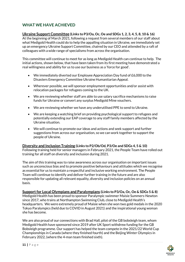# <span id="page-10-0"></span>**WHAT WE HAVE ACHIEVED**

# **Ukraine Support Committee (Links to P3/Oa, Oc, Oe and SDGs 1, 2, 3, 4, 5, 8, 10 & 16)**

At the beginning of March 2021, following a request from several members of our staff about what Medigold Health could do to help the appalling situation in Ukraine, we immediately set up an emergency Ukraine Support Committee, chaired by our CEO and attended by a raft of colleagues with a wide range of specialisms from across the organisation.

This committee will continue to meet for as long as Medigold Health can continue to help. The initial actions, shown below, that have been taken from its first meeting have demonstrated a real willingness and ability for us to use our business as a 'force for good'.

- We immediately diverted our Employee Appreciation Day fund of £6,000 to the Disasters Emergency Committee Ukraine Humanitarian Appeal.
- Wherever possible, we will sponsor employment opportunities and/or assist with relocation packages for refugees coming to the UK.
- We are reviewing whether staff are able to use salary sacrifice mechanisms to raise funds for Ukraine or convert any surplus Medigold Mine vouchers.
- We are reviewing whether we have any underutilised PPE to send to Ukraine.
- We are keeping a watching brief on providing psychological support to refugees and potentially extending our EAP coverage to any staff family members affected by the Ukraine situation.
- We will continue to promote our ideas and actions and seek support and further suggestions from across our organisation, so we can work together to support the people of Ukraine.

## **Diversity and Inclusion Training (Links to P2/Ob/Od, P3/Oe and SDGs 4, 5 & 10)**

Following training held for senior managers in February 2021, the People Team have rolled out training for all staff on diversity and inclusion during 2021.

The aim of this training was to raise awareness across our organisation on important issues such as unconscious bias and to promote positive behaviours and attitudes which we recognise as essential for us to maintain a respectful and inclusive working environment. The People Team will continue to identify and deliver further training in the future and are also responsible for updating all relevant equality, diversity and inclusion policies on an annual basis.

**Support for Local Olympians and Paralympians (Links to P3/Oa, Oc, Oe & SDGs 5 & 8)** Medigold Health has been proud to sponsor Paralympic swimmer Maisie Summers-Newton since 2017, who trains at Northampton Swimming Club, close to Medigold Health's headquarters. We were extremely proud of Maisie when she won two gold medals in the 2020 Tokyo Paralympics (held due to COVID in August 2021) and the inspirational young woman she has become.

We are also proud of our connections with Brad Hall, pilot of the GB bobsleigh team, whom Medigold Health have sponsored since 2019 after UK Sport withdrew funding for the GB Bobsleigh programme. Our support has helped the team compete in the 2021/22 World Cup Championships in Canada (where they finished fourth) and the Beijing Winter Olympics in February 2022, (where the 4-man team finished sixth).

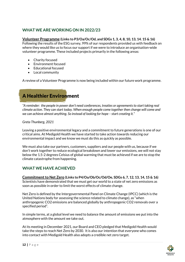# <span id="page-11-0"></span>**WHAT WE ARE WORKING ON IN 2022/23**

# **Volunteer Programme (Links to P3/Oa/Oc/Od, and SDGs 1, 3, 4, 8, 10, 13, 14. 15 & 16)**

Following the results of the ESG survey, 99% of our respondents provided us with feedback on where they would like us to focus our support if we were to introduce an organisation-wide volunteer programme. These included projects primarily in the following areas:

- Charity focused
- Environment focused
- Educational focused
- Local community

A review of a Volunteer Programme is now being included within our future work programme.

# <span id="page-11-1"></span>A Healthier Environment

*"A reminder: the people in power don't need conferences, treaties or agreementsto start taking real climate action. They can start today. When enough people come together then change will come and we can achieve almost anything. So instead of looking for hope – start creating it."*

*Greta Thunberg, 2021*

Leaving a positive environmental legacy and a commitment to future generations is one of our critical aims. At Medigold Health we have started to take action towards reducing our environmental impact and we know we must do this as quickly as possible.

We must also take our partners, customers, suppliers and our people with us, because if we don't work together to reduce ecological breakdown and lower our emissions, we will not stay below the 1.5-2 degrees Celsius of global warming that must be achieved if we are to stop the climate catastrophe from happening.

# <span id="page-11-2"></span>**WHAT WE HAVE ACHIEVED**

**Commitment to Net Zero (Links to P4/Oa/Ob/Oc/Od/Oe, SDGs 6, 7, 12, 13, 14, 15 & 16)** Scientists have demonstrated that we must get our world to a state of net zero emissions as soon as possible in order to limit the worst effects of climate change.

Net Zero is defined by the Intergovernmental Panel on Climate Change (IPCC) (which is the United Nations body for assessing the science related to climate change), as "when anthropogenic CO2 emissions are balanced globally by anthropogenic CO2 removals over a specified period".

In simple terms, at a global level we need to balance the amount of emissions we put into the atmosphere with the amount we take out.

At its meeting in December 2021, our Board and CEO pledged that Medigold Health would take the steps to reach Net Zero by 2030. It is also our intention that everyone who comes into contact with Medigold Health also adopts a credible net zero target.

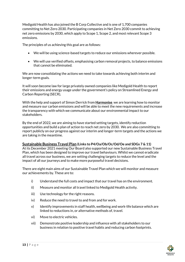Medigold Health has also joined the B Corp Collective and is one of 1,700 companies committing to Net Zero 2030. Participating companies in Net Zero 2030 commit to achieving net zero emissions by 2030, which apply to Scope 1, Scope 2, and most relevant Scope 3 emissions.

The principles of us achieving this goal are as follows:

- We will be using science-based targets to reduce our emissions wherever possible.
- We will use verified offsets, emphasising carbon removal projects, to balance emissions that cannot be eliminated.

We are now consolidating the actions we need to take towards achieving both interim and longer-term goals.

It will soon become law for large privately owned companies like Medigold Health to report their emissions and energy usage under the government's policy on Streamlined Energy and Carbon Reporting (SECR),

With the help and support of Simon Derrick from **[Harmonise](http://harmonize-sustainability.com/)** we are learning how to monitor and measure our carbon emissions and will be able to meet the new requirements and increase the transparency with which we communicate about our environmental impact to our stakeholders.

By the end of 2022, we are aiming to have started setting targets, identify reduction opportunities and build a plan of action to reach net zero by 2030. We are also committing to report publicly on our progress against our interim and longer-term targets and the actions we are taking in the meantime.

## **Sustainable Business Travel Plan (Links to P4/Oa/Ob/Oc/Od/Oe and SDGs 7 & 11)**

At its December 2021 meeting Our Board also supported our new Sustainable Business Travel Plan, which has been designed to improve our travel behaviours. Whilst we cannot eradicate all travel across our business, we are setting challenging targets to reduce the level and the impact of all our journeys and to make more purposeful travel decisions.

There are eight main aims of our Sustainable Travel Plan which we will monitor and measure our achievements by. These are to:

- i) Understand the full costs and impact that our travel has on the environment.
- ii) Measure and monitor all travel linked to Medigold Health activity.
- iii) Use technology for the right reasons.
- iv) Reduce the need to travel to and from and for work.
- v) Identify improvements in staff health, wellbeing and work-life balance which are linked to reductions in, or alternative methods of, travel.
- vi) Move to electric vehicles.
- vii) Demonstrate positive leadership and influence with all stakeholders to our business in relation to positive travel habits and reducing carbon footprints.

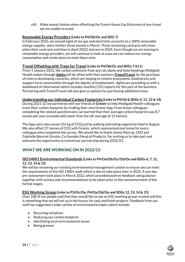viii) Make sound choices when offsetting the Green House Gas Emissions of any travel we are unable to avoid.

# **Renewable Energy Providers (Links to P4/Ob/Oc and SDG 7)**

In February 2022, we moved eight of our gas and electricity accounts to a 100% renewable energy supplier, and a further three moved in March. Three remaining contracts will move when their contracts end (two in April 2022) and one in 2024. Even though we are moving to renewable energy providers, we will continue to look at ways we can reduce our energy consumption and create plans to meet these aims.

## **Travel Offsetting with Trees for Travel (Links to P4/Ob/Oc and SDGs 7 &11)**

From 1 January 2022, the carbon emissions from any rail, plane and hotel bookings Medigold Health makes through **[Agiito](http://www.agiito.com/)** will be offset with their partners **[Trees4Travel](https://www.trees4travel.com/)**, by the purchase of trees in developing countries, which are helping to restore ecosystems, biodiversity and support local communities through the dignity of employment. Agiito are providing us with a dashboard of information which includes monthly CO2 reports for this part of the business. Partnering with Trees4Travel will also give us options for purchasing additional trees.

## **Understanding our Individual Carbon Footprints (Links to P4/Od & SDGs 4, 11, 12 & 14)**

During 2021-22 we partnered with our friends at **[Greenr](http://www.greenr.com/)** to help Medigold Health colleagues track their carbon footprint by trialling their new Greenr App. From those colleagues completing the related questionnaire, we learned that their average carbon footprint was 8.7 tonnes per year (considerably lower than the UK average of 12 tonnes).

The App users also saved 152 kg of CO2 just by walking and eating vegetarian food in August. We also offset 27 tonnes of CO2 with Greenr, which represented one tonne for every colleague who completed the survey. We would like to thank Jimmy Murray, CEO and Gabrielle Bourret-Sicotte, Co-founder/Head of Products, for inviting us to take part and welcome the opportunity to extend our partnership during 2022/23.

# <span id="page-13-0"></span>**WHAT WE ARE WORKING ON IN 2022/23**

## **ISO14001 Environmental Standards (Links to P4/Oa/Ob/Oc/Od/Oe and SDGs 6, 7, 11, 12, 13, 14 & 15)**

We will be reviewing our existing environmental management system to ensure we can meet the requirements of the ISO 14001 audit which is due to take place later in 2022. A one day pre-assessment took place in March 2022, which provided positive feedback and guidance together with actions and recommendations to be taken prior to the commencement of the formal stages.

## **ESG Working Group (Links to P3/Oc/Oe, P4/Oa/Od/Oe and SDGs 12, 13, 14 & 15)**

Over 100 of our people said that they would like to see an ESG working group created and this is something that we will set up in the future, for task and finish projects. Feedback from our staff has suggested a wide variety of environmental topics which include:

- Recycling initiatives
- Reducing our carbon footprint
- Identifying local environmental issues
- Being greener

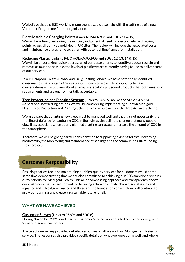We believe that the ESG working group agenda could also help with the setting up of a new Volunteer Programme for our organisation.

# **Electric Vehicle Charging Points (Links to P4/Oc/Od and SDGs 11 & 12)**

We will be actively reviewing the existing and potential need for electric vehicle charging points across all our Medigold Health UK sites. The review will include the associated costs and maintenance of a scheme together with potential timeframes for installation.

## **Reducing Plastic (Links to P4/Oa/Ob/Oc/Od/Oe and SDGs 12, 13, 14 & 15)**

We will be undertaking reviews across all of our departments to identify, reduce, recycle and remove, as much as possible, the levels of plastic we are currently having to use to deliver some of our services.

In our Hampton Knight Alcohol and Drug Testing Service, we have potentially identified consumables that contain 60% less plastic. However, we will be continuing to have conversations with suppliers about alternative, ecologically sound products that both meet our requirements and are environmentally acceptable.

## **Tree Protection and Planting Scheme (Links to P4/Oc/Od/Oe and SDGs 13 & 15)**

As part of our offsetting options, we will be considering implementing our own Medigold Health Tree Protection and Planting Scheme, which could include the Trees4Travel scheme.

We are aware that planting new trees must be managed well and that it is not necessarily the first line of defence for capturing CO2 in the fight against climate change that many people view it as, especially when poorly planned planting can actually increase the amount of CO2 in the atmosphere.

Therefore, we will be giving careful consideration to supporting existing forests, increasing biodiversity, the monitoring and maintenance of saplings and the communities surrounding those projects.

# <span id="page-14-0"></span>Customer Responsibility

Ensuring that we focus on maintaining our high-quality services for customers whilst at the same time demonstrating that we are also committed to achieving our ESG ambitions remains a key priority for Medigold Health. This all-encompassing approach and transparency shows our customers that we are committed to taking action on climate change, social issues and injustice and ethical governance and these are the foundations on which we will continue to grow our business and create a sustainable future for all.

# <span id="page-14-1"></span>**WHAT WE HAVE ACHIEVED**

## **Customer Survey (Links to P5/Od and SDG 8)**

During November 2021, our Head of Customer Service ran a detailed customer survey, with 27 of our largest customers.

The telephone survey provided detailed responses on all areas of our Management Referral service. The responses also provided specific details on what we were doing well, and where

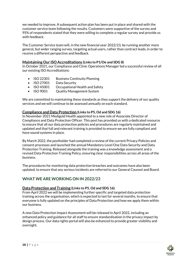we needed to improve. A subsequent action plan has been put in place and shared with the customer service team following the results. Customers were supportive of the survey and 95% of respondents stated that they were willing to complete a regular survey and provide us with feedback.

The Customer Service team will, in the new financial year 2022/23, be running another more general, but wider ranging survey, targeting actual users, rather than contract leads, in order to receive a different perspective and feedback.

# **Maintaining Our ISO Accreditations (Links to P1/Oe and SDG 8)**

In October 2021, our Compliance and Clinic Operations Manager led a successful review of all our existing ISO Accreditations:

- ISO 22301 Business Continuity Planning
- ISO 27001 Data Security
- ISO 45001 Occupational Health and Safety
- ISO 9001 Quality Management System

We are committed to maintaining these standards as they support the delivery of our quality services and we will continue to be assessed annually on each standard.

# **Compliance and Data Protection (Links to P5, Od and SDG 16)**

In November 2021 Medigold Health appointed to a new role of Associate Director of Compliance and Data Protection Officer. This post has provided us with a dedicated resource to ensure that all our data protection policies and procedures are regularly maintained and updated and that full and relevant training is provided to ensure we are fully compliant and have sound systems in place.

By March 2022, the postholder had completed a review of the current Privacy Policies and consent processes and launched the annual Mandatory Level One Data Security and Data Protection Training. Released alongside the training was a knowledge assessment and a revised Data Protection Training Policy, ensuring clear responsibilities across all areas of the business.

The procedures for monitoring data protection breaches and outcomes have also been updated, to ensure that any serious incidents are referred to our General Counsel and Board.

# <span id="page-15-0"></span>**WHAT WE ARE WORKING ON IN 2022/23**

## **Data Protection and Training (Links to P5, Od and SDG 16)**

From April 2022 we will be implementing further specific and targeted data protection training across the organisation, which is expected to last for several months, to ensure that everyone is fully updated on the principles of Data Protection and how we apply them within our business.

A new Data Protection Impact Assessment will be released in April 2022, including an enhanced policy and guidance for all staff to ensure standardisation in the privacy impact by design process. Our data rights portal will also be enhanced to provide greater visibility and oversight.

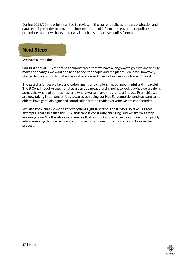During 2022/23 the priority will be to review all the current policies for data protection and data security in order to provide an improved suite of information governance policies, procedures and flow charts in a newly launched standardised policy format.

# <span id="page-16-0"></span>Next Steps

We have a lot to do!

Our first annual ESG report has demonstrated that we have a long way to go if we are to truly make the changes we want and need to see, for people and the planet. We have, however, started to take action to make a real difference and use our business as a force for good.

The ESG challenges we face are wide-ranging and challenging, but meaningful and impactful. The B Corp Impact Assessment has given us a great starting point to look at what we are doing across the whole of our business and where we can have the greatest impact. From this, we are now taking important strides towards achieving our Net Zero ambition and we want to be able to have good dialogue and sound collaborations with everyone we are connected to.

We also know that we won't get everything right first time, and it may also take us a few attempts. That's because the ESG landscape is constantly changing, and we are on a steep learning curve. We therefore must ensure that our ESG strategy can flex and respond quickly whilst ensuring that we remain accountable for our commitments and our actions in the process.

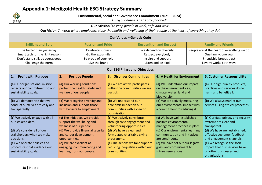# Appendix 1: Medigold Health ESG Strategy Summary

<span id="page-17-0"></span>

| Environmental, Social and Governance Commitment (2021 - 2024)<br>'Using our Business as a Force for Good'<br>MEDIGOLD<br><b>HEALTH</b> |                                                                                               |                                                                                   |                                                                                                |                                                                                          |                                                                                                        |                                                                                                                           |                                                                                                           |  |
|----------------------------------------------------------------------------------------------------------------------------------------|-----------------------------------------------------------------------------------------------|-----------------------------------------------------------------------------------|------------------------------------------------------------------------------------------------|------------------------------------------------------------------------------------------|--------------------------------------------------------------------------------------------------------|---------------------------------------------------------------------------------------------------------------------------|-----------------------------------------------------------------------------------------------------------|--|
| Our Mission 'To keep people in work, safe and well'.                                                                                   |                                                                                               |                                                                                   |                                                                                                |                                                                                          |                                                                                                        |                                                                                                                           |                                                                                                           |  |
| Our Vision 'A world where employers place the health and wellbeing of their people at the heart of everything they do'.                |                                                                                               |                                                                                   |                                                                                                |                                                                                          |                                                                                                        |                                                                                                                           |                                                                                                           |  |
| <b>Our Values - Genetic Code</b>                                                                                                       |                                                                                               |                                                                                   |                                                                                                |                                                                                          |                                                                                                        |                                                                                                                           |                                                                                                           |  |
| <b>Brilliant and Bold</b><br><b>Passion and Pride</b>                                                                                  |                                                                                               |                                                                                   | <b>Recognition and Respect</b>                                                                 |                                                                                          | <b>Family and Friends</b>                                                                              |                                                                                                                           |                                                                                                           |  |
| Be better than yesterday<br>Smart tech for the right reason<br>Don't stand still, be courageous<br>Challenge the norm                  |                                                                                               | Celebrate success<br>Go the extra mile<br>Be proud of your role<br>Live the brand |                                                                                                | We depend on diversity<br>Respect everybody<br>Inspire and support<br>Listen and be kind |                                                                                                        | People are at the heart of everything we do<br>One family, one goal<br>Friendship breeds trust<br>Loyalty works both ways |                                                                                                           |  |
| <b>Our ESG Pillars and Objectives</b>                                                                                                  |                                                                                               |                                                                                   |                                                                                                |                                                                                          |                                                                                                        |                                                                                                                           |                                                                                                           |  |
| <b>Profit with Purpose</b><br>1.                                                                                                       | 2.                                                                                            | <b>Positive People</b>                                                            | 3.                                                                                             | <b>Stronger Communities</b>                                                              | 4. A Healthier Environment                                                                             |                                                                                                                           | <b>5. Customer Responsibility</b>                                                                         |  |
| (a) Our organisational mission<br>reflects our commitment to our<br>sustainability goals.                                              | (a) Our working conditions<br>protect the health, safety and<br>welfare of our people.        |                                                                                   | (a) We are active participants<br>within the communities we are<br>part of.                    |                                                                                          | (a) We understand our impact<br>on the environment - air,<br>climate, water, land and<br>biodiversity. |                                                                                                                           | (a) Our high-quality products,<br>practices and services do no<br>harm and benefit all.                   |  |
| (b) We demonstrate that we<br>conduct ourselves ethically and<br>transparently.                                                        | (b) We recognise diversity and<br>inclusion and support those<br>with barriers to employment. |                                                                                   | (b) We understand our<br>economic impact on our<br>communities with a view to<br>optimisation. |                                                                                          | (b) We are actively measuring<br>our environmental impact with<br>a commitment to reducing it.         |                                                                                                                           | (b) We always market our<br>services using ethical processes.                                             |  |
| (c) We actively engage with all<br>our stakeholders.                                                                                   | (c) The initiatives we provide<br>support the wellbeing and<br>wellness of our people.        |                                                                                   | (c) We actively contribute<br>through civic engagement and<br>volunteering opportunities.      |                                                                                          | (c) We have well-established<br>positive environmental<br>management practices in place.               |                                                                                                                           | (c) Our data privacy and security<br>systems are clear and<br>transparent.                                |  |
| (d) We consider all of our<br>stakeholders when we make<br>decisions.                                                                  | (d) We provide financial security<br>and career development<br>opportunities.                 |                                                                                   | (d) We have a clear and<br>formulated charitable giving<br>programme.                          |                                                                                          | (d) Our environmental learning,<br>communication and initiatives<br>are continuous.                    |                                                                                                                           | (d) We have well established,<br>effective customer feedback<br>and engagement channels.                  |  |
| (e) We operate policies and<br>procedures that evidence our<br>sustainability goals.                                                   | (e) We are excellent at<br>engaging, communicating and<br>learning from our people.           |                                                                                   | (e) The actions we take support<br>reducing inequalities within our<br>communities.            |                                                                                          | (e) We have set out our legacy<br>goals and commitment to<br>future generations.                       |                                                                                                                           | (e) We recognise the social<br>impact that our services have<br>on other businesses and<br>organisations. |  |